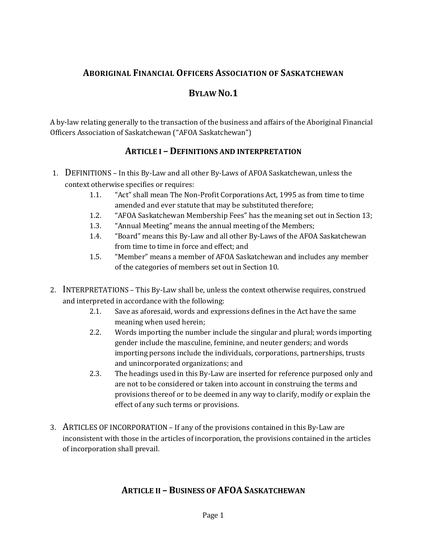## **ABORIGINAL FINANCIAL OFFICERS ASSOCIATION OF SASKATCHEWAN**

#### **BYLAW NO.1**

A by-law relating generally to the transaction of the business and affairs of the Aboriginal Financial Officers Association of Saskatchewan ("AFOA Saskatchewan")

#### **ARTICLE I – DEFINITIONS AND INTERPRETATION**

- 1. DEFINITIONS In this By-Law and all other By-Laws of AFOA Saskatchewan, unless the context otherwise specifies or requires:
	- 1.1. "Act" shall mean The Non-Profit Corporations Act, 1995 as from time to time amended and ever statute that may be substituted therefore;
	- 1.2. "AFOA Saskatchewan Membership Fees" has the meaning set out in Section 13;
	- 1.3. "Annual Meeting" means the annual meeting of the Members;
	- 1.4. "Board" means this By-Law and all other By-Laws of the AFOA Saskatchewan from time to time in force and effect; and
	- 1.5. "Member" means a member of AFOA Saskatchewan and includes any member of the categories of members set out in Section 10.
- 2. INTERPRETATIONS This By-Law shall be, unless the context otherwise requires, construed and interpreted in accordance with the following:
	- 2.1. Save as aforesaid, words and expressions defines in the Act have the same meaning when used herein;
	- 2.2. Words importing the number include the singular and plural; words importing gender include the masculine, feminine, and neuter genders; and words importing persons include the individuals, corporations, partnerships, trusts and unincorporated organizations; and
	- 2.3. The headings used in this By-Law are inserted for reference purposed only and are not to be considered or taken into account in construing the terms and provisions thereof or to be deemed in any way to clarify, modify or explain the effect of any such terms or provisions.
- 3. ARTICLES OF INCORPORATION If any of the provisions contained in this By-Law are inconsistent with those in the articles of incorporation, the provisions contained in the articles of incorporation shall prevail.

## **ARTICLE II – BUSINESS OF AFOA SASKATCHEWAN**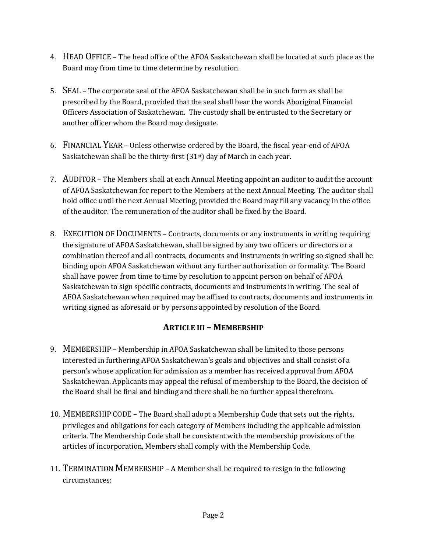- 4. HEAD OFFICE The head office of the AFOA Saskatchewan shall be located at such place as the Board may from time to time determine by resolution.
- 5. SEAL The corporate seal of the AFOA Saskatchewan shall be in such form as shall be prescribed by the Board, provided that the seal shall bear the words Aboriginal Financial Officers Association of Saskatchewan. The custody shall be entrusted to the Secretary or another officer whom the Board may designate.
- 6. FINANCIAL YEAR Unless otherwise ordered by the Board, the fiscal year-end of AFOA Saskatchewan shall be the thirty-first (31<sup>st</sup>) day of March in each year.
- 7. AUDITOR The Members shall at each Annual Meeting appoint an auditor to audit the account of AFOA Saskatchewan for report to the Members at the next Annual Meeting. The auditor shall hold office until the next Annual Meeting, provided the Board may fill any vacancy in the office of the auditor. The remuneration of the auditor shall be fixed by the Board.
- 8. EXECUTION OF DOCUMENTS Contracts, documents or any instruments in writing requiring the signature of AFOA Saskatchewan, shall be signed by any two officers or directors or a combination thereof and all contracts, documents and instruments in writing so signed shall be binding upon AFOA Saskatchewan without any further authorization or formality. The Board shall have power from time to time by resolution to appoint person on behalf of AFOA Saskatchewan to sign specific contracts, documents and instruments in writing. The seal of AFOA Saskatchewan when required may be affixed to contracts, documents and instruments in writing signed as aforesaid or by persons appointed by resolution of the Board.

## **ARTICLE III – MEMBERSHIP**

- 9. MEMBERSHIP Membership in AFOA Saskatchewan shall be limited to those persons interested in furthering AFOA Saskatchewan's goals and objectives and shall consist of a person's whose application for admission as a member has received approval from AFOA Saskatchewan. Applicants may appeal the refusal of membership to the Board, the decision of the Board shall be final and binding and there shall be no further appeal therefrom.
- 10. MEMBERSHIP CODE The Board shall adopt a Membership Code that sets out the rights, privileges and obligations for each category of Members including the applicable admission criteria. The Membership Code shall be consistent with the membership provisions of the articles of incorporation. Members shall comply with the Membership Code.
- 11. TERMINATION MEMBERSHIP A Member shall be required to resign in the following circumstances: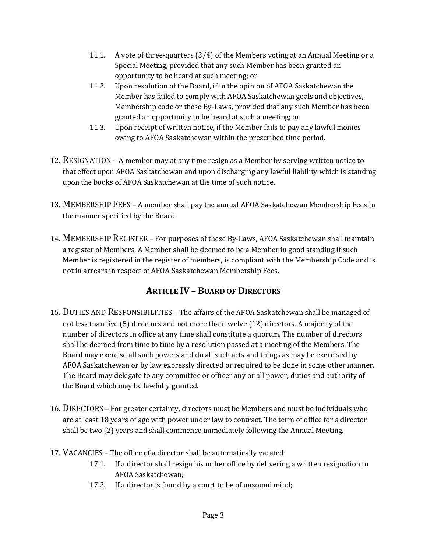- 11.1. A vote of three-quarters (3/4) of the Members voting at an Annual Meeting or a Special Meeting, provided that any such Member has been granted an opportunity to be heard at such meeting; or
- 11.2. Upon resolution of the Board, if in the opinion of AFOA Saskatchewan the Member has failed to comply with AFOA Saskatchewan goals and objectives, Membership code or these By-Laws, provided that any such Member has been granted an opportunity to be heard at such a meeting; or
- 11.3. Upon receipt of written notice, if the Member fails to pay any lawful monies owing to AFOA Saskatchewan within the prescribed time period.
- 12. RESIGNATION A member may at any time resign as a Member by serving written notice to that effect upon AFOA Saskatchewan and upon discharging any lawful liability which is standing upon the books of AFOA Saskatchewan at the time of such notice.
- 13. MEMBERSHIP FEES A member shall pay the annual AFOA Saskatchewan Membership Fees in the manner specified by the Board.
- 14. MEMBERSHIP REGISTER For purposes of these By-Laws, AFOA Saskatchewan shall maintain a register of Members. A Member shall be deemed to be a Member in good standing if such Member is registered in the register of members, is compliant with the Membership Code and is not in arrears in respect of AFOA Saskatchewan Membership Fees.

# **ARTICLE IV – BOARD OF DIRECTORS**

- 15. DUTIES AND RESPONSIBILITIES The affairs of the AFOA Saskatchewan shall be managed of not less than five (5) directors and not more than twelve (12) directors. A majority of the number of directors in office at any time shall constitute a quorum. The number of directors shall be deemed from time to time by a resolution passed at a meeting of the Members. The Board may exercise all such powers and do all such acts and things as may be exercised by AFOA Saskatchewan or by law expressly directed or required to be done in some other manner. The Board may delegate to any committee or officer any or all power, duties and authority of the Board which may be lawfully granted.
- 16. DIRECTORS For greater certainty, directors must be Members and must be individuals who are at least 18 years of age with power under law to contract. The term of office for a director shall be two (2) years and shall commence immediately following the Annual Meeting.
- 17. VACANCIES The office of a director shall be automatically vacated:
	- 17.1. If a director shall resign his or her office by delivering a written resignation to AFOA Saskatchewan;
	- 17.2. If a director is found by a court to be of unsound mind;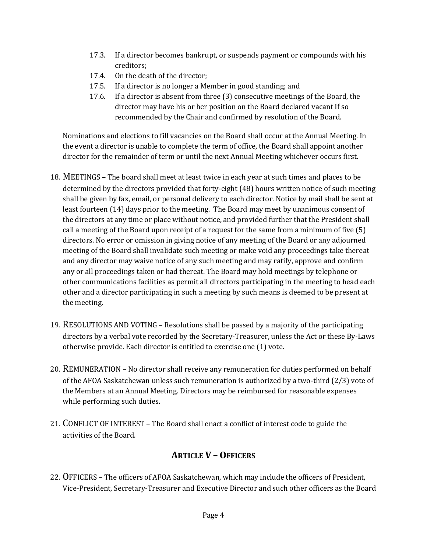- 17.3. If a director becomes bankrupt, or suspends payment or compounds with his creditors;
- 17.4. On the death of the director;
- 17.5. If a director is no longer a Member in good standing; and
- 17.6. If a director is absent from three (3) consecutive meetings of the Board, the director may have his or her position on the Board declared vacant If so recommended by the Chair and confirmed by resolution of the Board.

Nominations and elections to fill vacancies on the Board shall occur at the Annual Meeting. In the event a director is unable to complete the term of office, the Board shall appoint another director for the remainder of term or until the next Annual Meeting whichever occurs first.

- 18. MEETINGS The board shall meet at least twice in each year at such times and places to be determined by the directors provided that forty-eight (48) hours written notice of such meeting shall be given by fax, email, or personal delivery to each director. Notice by mail shall be sent at least fourteen (14) days prior to the meeting. The Board may meet by unanimous consent of the directors at any time or place without notice, and provided further that the President shall call a meeting of the Board upon receipt of a request for the same from a minimum of five (5) directors. No error or omission in giving notice of any meeting of the Board or any adjourned meeting of the Board shall invalidate such meeting or make void any proceedings take thereat and any director may waive notice of any such meeting and may ratify, approve and confirm any or all proceedings taken or had thereat. The Board may hold meetings by telephone or other communications facilities as permit all directors participating in the meeting to head each other and a director participating in such a meeting by such means is deemed to be present at the meeting.
- 19. RESOLUTIONS AND VOTING Resolutions shall be passed by a majority of the participating directors by a verbal vote recorded by the Secretary-Treasurer, unless the Act or these By-Laws otherwise provide. Each director is entitled to exercise one (1) vote.
- 20. REMUNERATION No director shall receive any remuneration for duties performed on behalf of the AFOA Saskatchewan unless such remuneration is authorized by a two-third (2/3) vote of the Members at an Annual Meeting. Directors may be reimbursed for reasonable expenses while performing such duties.
- 21. CONFLICT OF INTEREST The Board shall enact a conflict of interest code to guide the activities of the Board.

## **ARTICLE V – OFFICERS**

22. OFFICERS – The officers of AFOA Saskatchewan, which may include the officers of President, Vice-President, Secretary-Treasurer and Executive Director and such other officers as the Board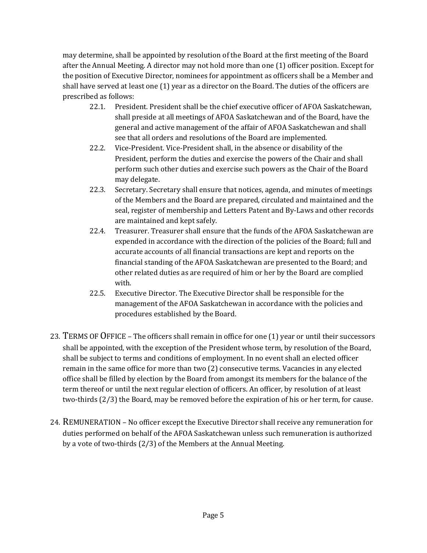may determine, shall be appointed by resolution of the Board at the first meeting of the Board after the Annual Meeting. A director may not hold more than one (1) officer position. Except for the position of Executive Director, nominees for appointment as officers shall be a Member and shall have served at least one (1) year as a director on the Board. The duties of the officers are prescribed as follows:

- 22.1. President. President shall be the chief executive officer of AFOA Saskatchewan, shall preside at all meetings of AFOA Saskatchewan and of the Board, have the general and active management of the affair of AFOA Saskatchewan and shall see that all orders and resolutions of the Board are implemented.
- 22.2. Vice-President. Vice-President shall, in the absence or disability of the President, perform the duties and exercise the powers of the Chair and shall perform such other duties and exercise such powers as the Chair of the Board may delegate.
- 22.3. Secretary. Secretary shall ensure that notices, agenda, and minutes of meetings of the Members and the Board are prepared, circulated and maintained and the seal, register of membership and Letters Patent and By-Laws and other records are maintained and kept safely.
- 22.4. Treasurer. Treasurer shall ensure that the funds of the AFOA Saskatchewan are expended in accordance with the direction of the policies of the Board; full and accurate accounts of all financial transactions are kept and reports on the financial standing of the AFOA Saskatchewan are presented to the Board; and other related duties as are required of him or her by the Board are complied with.
- 22.5. Executive Director. The Executive Director shall be responsible for the management of the AFOA Saskatchewan in accordance with the policies and procedures established by the Board.
- 23. TERMS OF OFFICE The officers shall remain in office for one (1) year or until their successors shall be appointed, with the exception of the President whose term, by resolution of the Board, shall be subject to terms and conditions of employment. In no event shall an elected officer remain in the same office for more than two (2) consecutive terms. Vacancies in any elected office shall be filled by election by the Board from amongst its members for the balance of the term thereof or until the next regular election of officers. An officer, by resolution of at least two-thirds (2/3) the Board, may be removed before the expiration of his or her term, for cause.
- 24. REMUNERATION No officer except the Executive Director shall receive any remuneration for duties performed on behalf of the AFOA Saskatchewan unless such remuneration is authorized by a vote of two-thirds (2/3) of the Members at the Annual Meeting.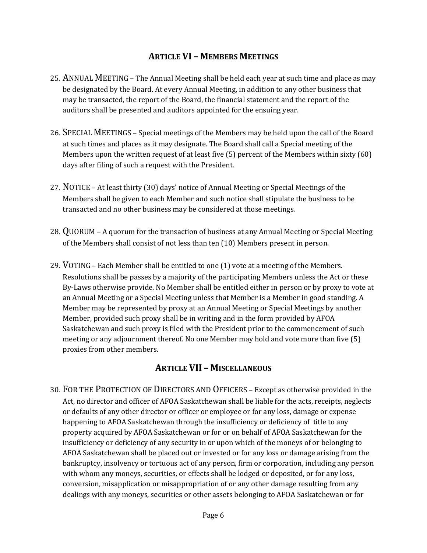## **ARTICLE VI – MEMBERS MEETINGS**

- 25. ANNUAL MEETING The Annual Meeting shall be held each year at such time and place as may be designated by the Board. At every Annual Meeting, in addition to any other business that may be transacted, the report of the Board, the financial statement and the report of the auditors shall be presented and auditors appointed for the ensuing year.
- 26. SPECIAL MEETINGS Special meetings of the Members may be held upon the call of the Board at such times and places as it may designate. The Board shall call a Special meeting of the Members upon the written request of at least five (5) percent of the Members within sixty (60) days after filing of such a request with the President.
- 27. NOTICE At least thirty (30) days' notice of Annual Meeting or Special Meetings of the Members shall be given to each Member and such notice shall stipulate the business to be transacted and no other business may be considered at those meetings.
- 28. QUORUM A quorum for the transaction of business at any Annual Meeting or Special Meeting of the Members shall consist of not less than ten (10) Members present in person.
- 29. VOTING Each Member shall be entitled to one (1) vote at a meeting of the Members. Resolutions shall be passes by a majority of the participating Members unless the Act or these By-Laws otherwise provide. No Member shall be entitled either in person or by proxy to vote at an Annual Meeting or a Special Meeting unless that Member is a Member in good standing. A Member may be represented by proxy at an Annual Meeting or Special Meetings by another Member, provided such proxy shall be in writing and in the form provided by AFOA Saskatchewan and such proxy is filed with the President prior to the commencement of such meeting or any adjournment thereof. No one Member may hold and vote more than five (5) proxies from other members.

## **ARTICLE VII – MISCELLANEOUS**

30. FOR THE PROTECTION OF DIRECTORS AND OFFICERS – Except as otherwise provided in the Act, no director and officer of AFOA Saskatchewan shall be liable for the acts, receipts, neglects or defaults of any other director or officer or employee or for any loss, damage or expense happening to AFOA Saskatchewan through the insufficiency or deficiency of title to any property acquired by AFOA Saskatchewan or for or on behalf of AFOA Saskatchewan for the insufficiency or deficiency of any security in or upon which of the moneys of or belonging to AFOA Saskatchewan shall be placed out or invested or for any loss or damage arising from the bankruptcy, insolvency or tortuous act of any person, firm or corporation, including any person with whom any moneys, securities, or effects shall be lodged or deposited, or for any loss, conversion, misapplication or misappropriation of or any other damage resulting from any dealings with any moneys, securities or other assets belonging to AFOA Saskatchewan or for